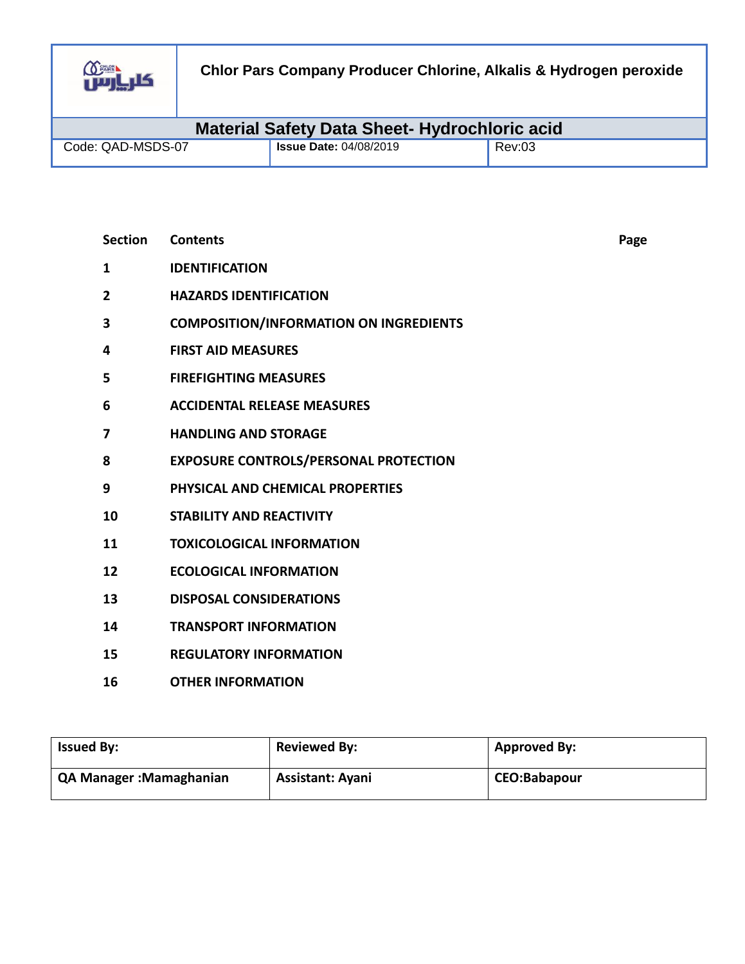

| <b>Material Safety Data Sheet- Hydrochloric acid</b> |                               |        |  |
|------------------------------------------------------|-------------------------------|--------|--|
| Code: QAD-MSDS-07                                    | <b>Issue Date: 04/08/2019</b> | Rev:03 |  |

| <b>Section</b> | <b>Contents</b>                               | Page |
|----------------|-----------------------------------------------|------|
| 1              | <b>IDENTIFICATION</b>                         |      |
| $\mathbf{2}$   | <b>HAZARDS IDENTIFICATION</b>                 |      |
| 3              | <b>COMPOSITION/INFORMATION ON INGREDIENTS</b> |      |
| 4              | <b>FIRST AID MEASURES</b>                     |      |
| 5              | <b>FIREFIGHTING MEASURES</b>                  |      |
| 6              | <b>ACCIDENTAL RELEASE MEASURES</b>            |      |
| 7              | <b>HANDLING AND STORAGE</b>                   |      |
| 8              | <b>EXPOSURE CONTROLS/PERSONAL PROTECTION</b>  |      |
| 9              | PHYSICAL AND CHEMICAL PROPERTIES              |      |
| 10             | <b>STABILITY AND REACTIVITY</b>               |      |
| 11             | <b>TOXICOLOGICAL INFORMATION</b>              |      |
| 12             | <b>ECOLOGICAL INFORMATION</b>                 |      |
| 13             | <b>DISPOSAL CONSIDERATIONS</b>                |      |
| 14             | <b>TRANSPORT INFORMATION</b>                  |      |
| 15             | <b>REGULATORY INFORMATION</b>                 |      |
| 16             | <b>OTHER INFORMATION</b>                      |      |

| <b>Issued By:</b>       | <b>Reviewed By:</b>     | <b>Approved By:</b> |
|-------------------------|-------------------------|---------------------|
| QA Manager: Mamaghanian | <b>Assistant: Ayani</b> | <b>CEO:Babapour</b> |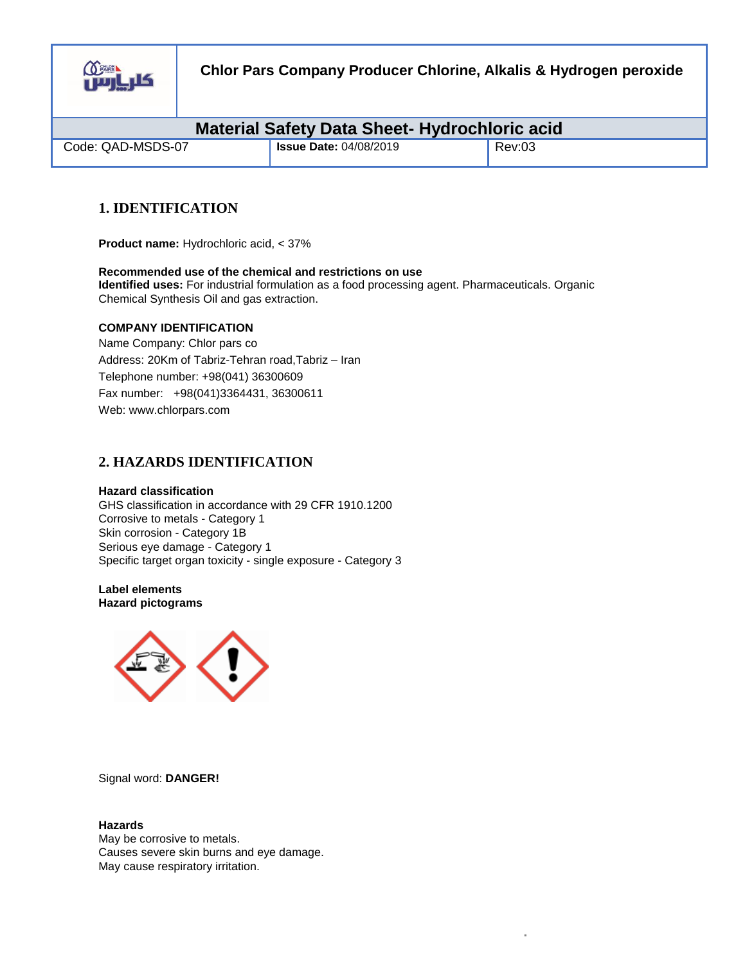

| <b>Material Safety Data Sheet-Hydrochloric acid</b> |                               |        |  |
|-----------------------------------------------------|-------------------------------|--------|--|
| Code: QAD-MSDS-07                                   | <b>Issue Date: 04/08/2019</b> | Rev:03 |  |

# **1. IDENTIFICATION**

**Product name:** Hydrochloric acid, < 37%

**Recommended use of the chemical and restrictions on use Identified uses:** For industrial formulation as a food processing agent. Pharmaceuticals. Organic Chemical Synthesis Oil and gas extraction.

## **COMPANY IDENTIFICATION**

Name Company: Chlor pars co Address: 20Km of Tabriz-Tehran road,Tabriz – Iran Telephone number: +98(041) 36300609 Fax number: +98(041)3364431, 36300611 Web: www.chlorpars.com

## **2. HAZARDS IDENTIFICATION**

## **Hazard classification**

GHS classification in accordance with 29 CFR 1910.1200 Corrosive to metals - Category 1 Skin corrosion - Category 1B Serious eye damage - Category 1 Specific target organ toxicity - single exposure - Category 3

**Label elements Hazard pictograms** 



Signal word: **DANGER!** 

**Hazards**  May be corrosive to metals. Causes severe skin burns and eye damage. May cause respiratory irritation.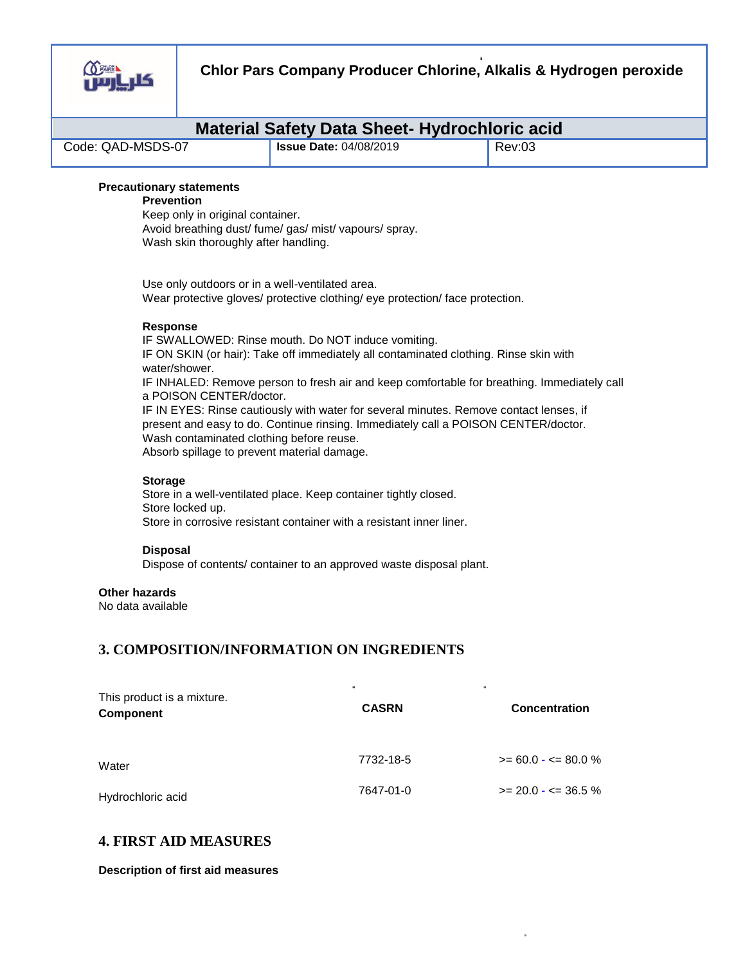

|                   | <b>Material Safety Data Sheet- Hydrochloric acid</b> |        |  |
|-------------------|------------------------------------------------------|--------|--|
| Code: QAD-MSDS-07 | <sup>1</sup> Issue Date: 04/08/2019                  | Rev:03 |  |

## **Precautionary statements**

## **Prevention**

Keep only in original container. Avoid breathing dust/ fume/ gas/ mist/ vapours/ spray. Wash skin thoroughly after handling.

Use only outdoors or in a well-ventilated area. Wear protective gloves/ protective clothing/ eye protection/ face protection.

#### **Response**

IF SWALLOWED: Rinse mouth. Do NOT induce vomiting. IF ON SKIN (or hair): Take off immediately all contaminated clothing. Rinse skin with water/shower. IF INHALED: Remove person to fresh air and keep comfortable for breathing. Immediately call

a POISON CENTER/doctor.

IF IN EYES: Rinse cautiously with water for several minutes. Remove contact lenses, if present and easy to do. Continue rinsing. Immediately call a POISON CENTER/doctor. Wash contaminated clothing before reuse. Absorb spillage to prevent material damage.

#### **Storage**

Store in a well-ventilated place. Keep container tightly closed. Store locked up. Store in corrosive resistant container with a resistant inner liner.

## **Disposal**

Dispose of contents/ container to an approved waste disposal plant.

## **Other hazards**

No data available

## **3. COMPOSITION/INFORMATION ON INGREDIENTS**

| This product is a mixture.<br>Component | <b>CASRN</b> | <b>Concentration</b>    |
|-----------------------------------------|--------------|-------------------------|
| Water                                   | 7732-18-5    | $>= 60.0 - \le 80.0 \%$ |
| Hydrochloric acid                       | 7647-01-0    | $>= 20.0 - 5 = 36.5 \%$ |

## **4. FIRST AID MEASURES**

**Description of first aid measures**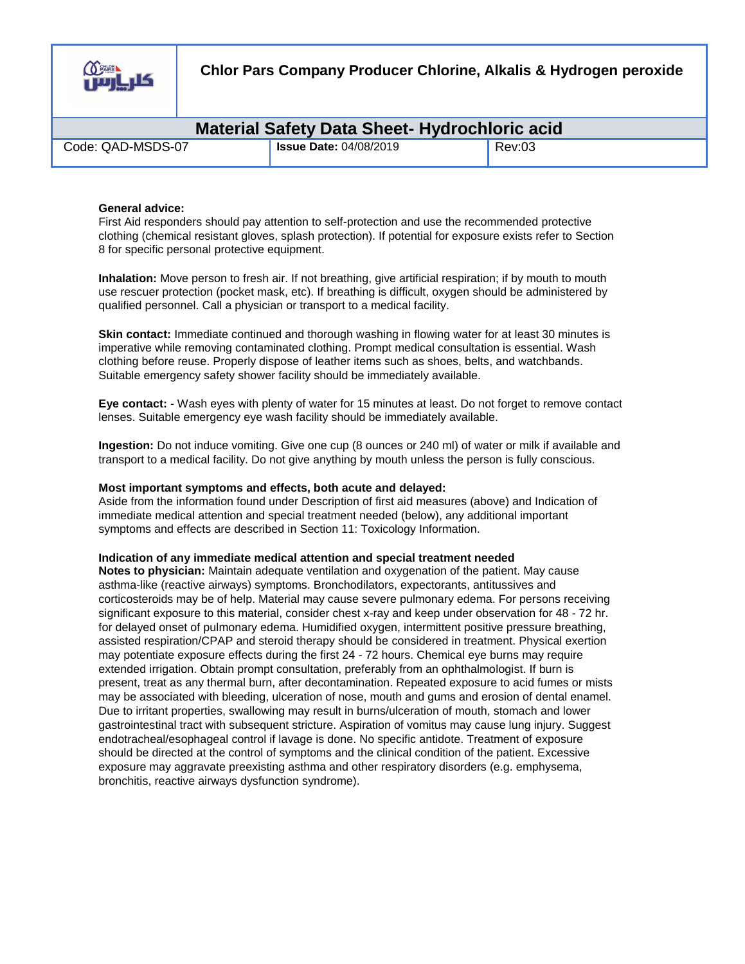

| <b>Material Safety Data Sheet- Hydrochloric acid</b> |                               |        |  |
|------------------------------------------------------|-------------------------------|--------|--|
| Code: QAD-MSDS-07                                    | <b>Issue Date: 04/08/2019</b> | Rev:03 |  |

#### **General advice:**

First Aid responders should pay attention to self-protection and use the recommended protective clothing (chemical resistant gloves, splash protection). If potential for exposure exists refer to Section 8 for specific personal protective equipment.

**Inhalation:** Move person to fresh air. If not breathing, give artificial respiration; if by mouth to mouth use rescuer protection (pocket mask, etc). If breathing is difficult, oxygen should be administered by qualified personnel. Call a physician or transport to a medical facility.

**Skin contact:** Immediate continued and thorough washing in flowing water for at least 30 minutes is imperative while removing contaminated clothing. Prompt medical consultation is essential. Wash clothing before reuse. Properly dispose of leather items such as shoes, belts, and watchbands. Suitable emergency safety shower facility should be immediately available.

**Eye contact:** - Wash eyes with plenty of water for 15 minutes at least. Do not forget to remove contact lenses. Suitable emergency eye wash facility should be immediately available.

**Ingestion:** Do not induce vomiting. Give one cup (8 ounces or 240 ml) of water or milk if available and transport to a medical facility. Do not give anything by mouth unless the person is fully conscious.

#### **Most important symptoms and effects, both acute and delayed:**

Aside from the information found under Description of first aid measures (above) and Indication of immediate medical attention and special treatment needed (below), any additional important symptoms and effects are described in Section 11: Toxicology Information.

#### **Indication of any immediate medical attention and special treatment needed**

**Notes to physician:** Maintain adequate ventilation and oxygenation of the patient. May cause asthma-like (reactive airways) symptoms. Bronchodilators, expectorants, antitussives and corticosteroids may be of help. Material may cause severe pulmonary edema. For persons receiving significant exposure to this material, consider chest x-ray and keep under observation for 48 - 72 hr. for delayed onset of pulmonary edema. Humidified oxygen, intermittent positive pressure breathing, assisted respiration/CPAP and steroid therapy should be considered in treatment. Physical exertion may potentiate exposure effects during the first 24 - 72 hours. Chemical eye burns may require extended irrigation. Obtain prompt consultation, preferably from an ophthalmologist. If burn is present, treat as any thermal burn, after decontamination. Repeated exposure to acid fumes or mists may be associated with bleeding, ulceration of nose, mouth and gums and erosion of dental enamel. Due to irritant properties, swallowing may result in burns/ulceration of mouth, stomach and lower gastrointestinal tract with subsequent stricture. Aspiration of vomitus may cause lung injury. Suggest endotracheal/esophageal control if lavage is done. No specific antidote. Treatment of exposure should be directed at the control of symptoms and the clinical condition of the patient. Excessive exposure may aggravate preexisting asthma and other respiratory disorders (e.g. emphysema, bronchitis, reactive airways dysfunction syndrome).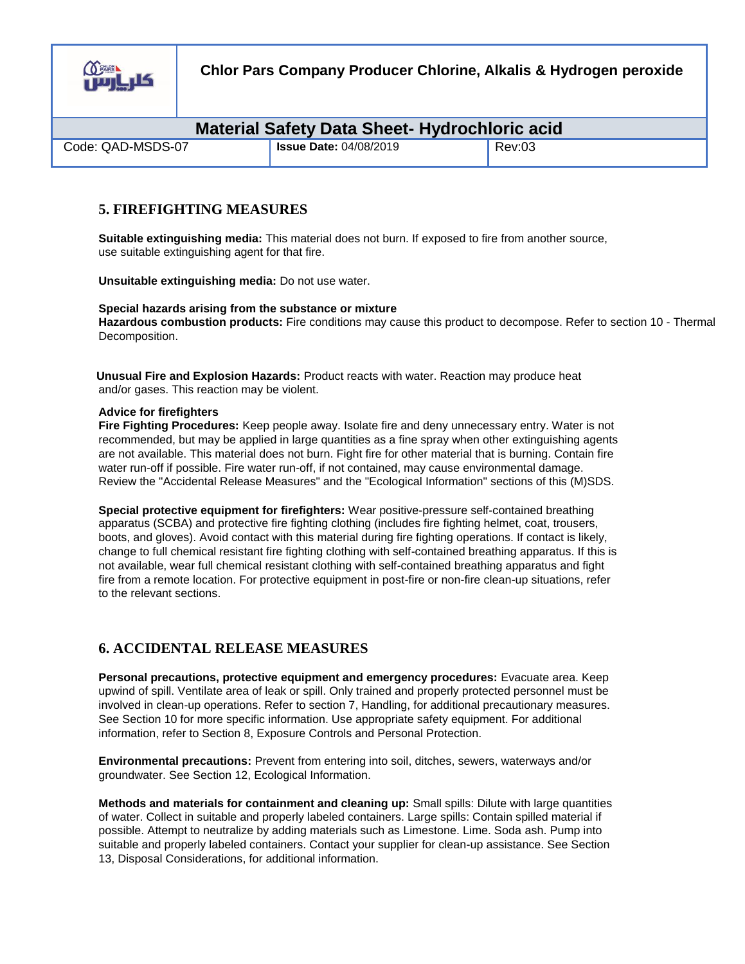

| <b>Material Safety Data Sheet- Hydrochloric acid</b> |                               |        |  |
|------------------------------------------------------|-------------------------------|--------|--|
| Code: QAD-MSDS-07                                    | <b>Issue Date: 04/08/2019</b> | Rev:03 |  |

## **5. FIREFIGHTING MEASURES**

**Suitable extinguishing media:** This material does not burn. If exposed to fire from another source, use suitable extinguishing agent for that fire.

**Unsuitable extinguishing media:** Do not use water.

#### **Special hazards arising from the substance or mixture Hazardous combustion products:** Fire conditions may cause this product to decompose. Refer to section 10 - Thermal Decomposition.

 **Unusual Fire and Explosion Hazards:** Product reacts with water. Reaction may produce heat and/or gases. This reaction may be violent.

## **Advice for firefighters**

**Fire Fighting Procedures:** Keep people away. Isolate fire and deny unnecessary entry. Water is not recommended, but may be applied in large quantities as a fine spray when other extinguishing agents are not available. This material does not burn. Fight fire for other material that is burning. Contain fire water run-off if possible. Fire water run-off, if not contained, may cause environmental damage. Review the "Accidental Release Measures" and the "Ecological Information" sections of this (M)SDS.

**Special protective equipment for firefighters:** Wear positive-pressure self-contained breathing apparatus (SCBA) and protective fire fighting clothing (includes fire fighting helmet, coat, trousers, boots, and gloves). Avoid contact with this material during fire fighting operations. If contact is likely, change to full chemical resistant fire fighting clothing with self-contained breathing apparatus. If this is not available, wear full chemical resistant clothing with self-contained breathing apparatus and fight fire from a remote location. For protective equipment in post-fire or non-fire clean-up situations, refer to the relevant sections.

# **6. ACCIDENTAL RELEASE MEASURES**

**Personal precautions, protective equipment and emergency procedures:** Evacuate area. Keep upwind of spill. Ventilate area of leak or spill. Only trained and properly protected personnel must be involved in clean-up operations. Refer to section 7, Handling, for additional precautionary measures. See Section 10 for more specific information. Use appropriate safety equipment. For additional information, refer to Section 8, Exposure Controls and Personal Protection.

**Environmental precautions:** Prevent from entering into soil, ditches, sewers, waterways and/or groundwater. See Section 12, Ecological Information.

**Methods and materials for containment and cleaning up:** Small spills: Dilute with large quantities of water. Collect in suitable and properly labeled containers. Large spills: Contain spilled material if possible. Attempt to neutralize by adding materials such as Limestone. Lime. Soda ash. Pump into suitable and properly labeled containers. Contact your supplier for clean-up assistance. See Section 13, Disposal Considerations, for additional information.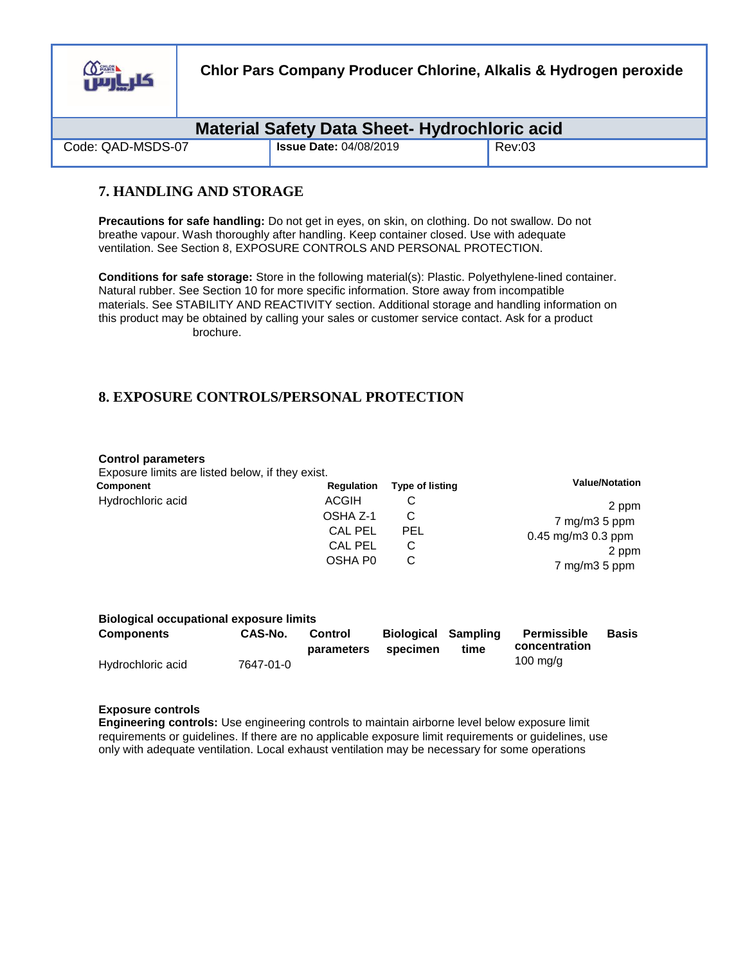

**Chlor Pars Company Producer Chlorine, Alkalis & Hydrogen peroxide**

| <b>Material Safety Data Sheet- Hydrochloric acid</b> |                               |        |  |
|------------------------------------------------------|-------------------------------|--------|--|
| Code: QAD-MSDS-07                                    | <b>Issue Date: 04/08/2019</b> | Rev:03 |  |

## **7. HANDLING AND STORAGE**

**Precautions for safe handling:** Do not get in eyes, on skin, on clothing. Do not swallow. Do not breathe vapour. Wash thoroughly after handling. Keep container closed. Use with adequate ventilation. See Section 8, EXPOSURE CONTROLS AND PERSONAL PROTECTION.

**Conditions for safe storage:** Store in the following material(s): Plastic. Polyethylene-lined container. Natural rubber. See Section 10 for more specific information. Store away from incompatible materials. See STABILITY AND REACTIVITY section. Additional storage and handling information on this product may be obtained by calling your sales or customer service contact. Ask for a product brochure.

# **8. EXPOSURE CONTROLS/PERSONAL PROTECTION**

#### **Control parameters**

Exposure limits are listed below, if they exist.

| Component         | Regulation          | <b>Type of listing</b> | <b>Value/Notation</b>              |
|-------------------|---------------------|------------------------|------------------------------------|
| Hydrochloric acid | <b>ACGIH</b>        |                        | 2 ppm                              |
|                   | OSHA Z-1            |                        | $7 \text{ mg/m}$ $3 \text{ 5 ppm}$ |
|                   | <b>CAL PEL</b>      | PEL                    | $0.45$ mg/m $3$ 0.3 ppm            |
|                   | <b>CAL PEL</b>      |                        | 2 ppm                              |
|                   | OSHA P <sub>0</sub> |                        | $7 \text{ mg/m}$ $3 \text{ 5 ppm}$ |

#### **Biological occupational exposure limits**

| <b>Components</b> | CAS-No.   | Control<br>parameters | <b>Biological Sampling</b><br>specimen | time | Permissible<br>concentration | Basis |
|-------------------|-----------|-----------------------|----------------------------------------|------|------------------------------|-------|
| Hydrochloric acid | 7647-01-0 |                       |                                        |      | 100 mg/g                     |       |

#### **Exposure controls**

**Engineering controls:** Use engineering controls to maintain airborne level below exposure limit requirements or guidelines. If there are no applicable exposure limit requirements or guidelines, use only with adequate ventilation. Local exhaust ventilation may be necessary for some operations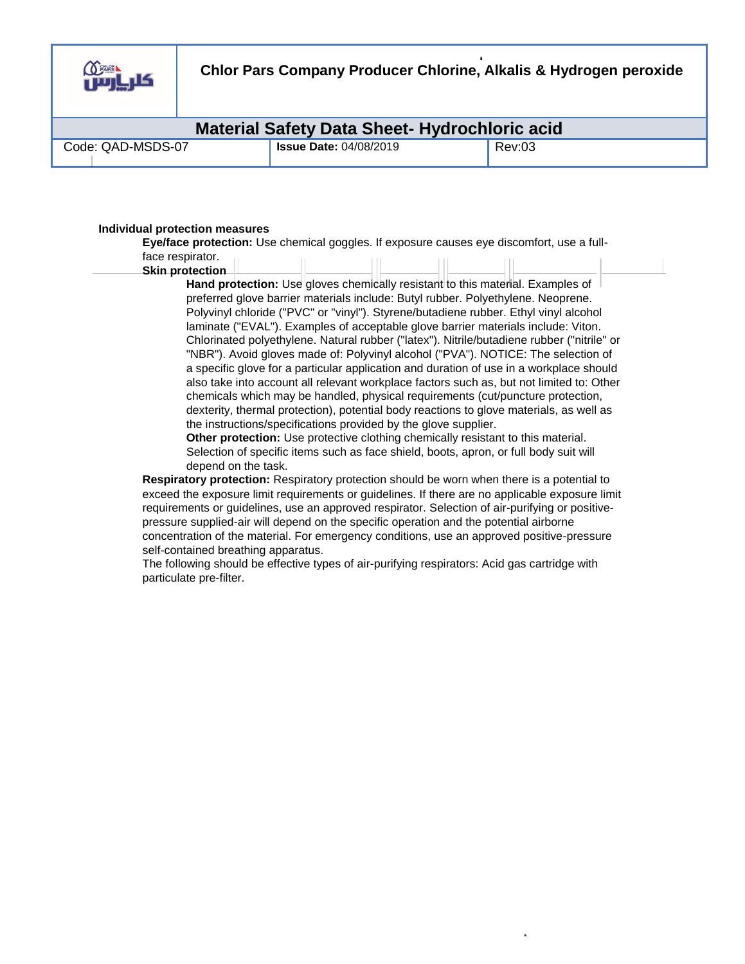

|                   | <b>Material Safety Data Sheet- Hydrochloric acid</b> |        |
|-------------------|------------------------------------------------------|--------|
| Code: QAD-MSDS-07 | <b>Issue Date: 04/08/2019</b>                        | Rev:03 |

#### **Individual protection measures**

**Eye/face protection:** Use chemical goggles. If exposure causes eye discomfort, use a fullface respirator.

#### **Skin protection**

**Hand protection:** Use gloves chemically resistant to this material. Examples of preferred glove barrier materials include: Butyl rubber. Polyethylene. Neoprene. Polyvinyl chloride ("PVC" or "vinyl"). Styrene/butadiene rubber. Ethyl vinyl alcohol laminate ("EVAL"). Examples of acceptable glove barrier materials include: Viton. Chlorinated polyethylene. Natural rubber ("latex"). Nitrile/butadiene rubber ("nitrile" or "NBR"). Avoid gloves made of: Polyvinyl alcohol ("PVA"). NOTICE: The selection of a specific glove for a particular application and duration of use in a workplace should also take into account all relevant workplace factors such as, but not limited to: Other chemicals which may be handled, physical requirements (cut/puncture protection, dexterity, thermal protection), potential body reactions to glove materials, as well as the instructions/specifications provided by the glove supplier.

**Other protection:** Use protective clothing chemically resistant to this material. Selection of specific items such as face shield, boots, apron, or full body suit will depend on the task.

**Respiratory protection:** Respiratory protection should be worn when there is a potential to exceed the exposure limit requirements or guidelines. If there are no applicable exposure limit requirements or guidelines, use an approved respirator. Selection of air-purifying or positivepressure supplied-air will depend on the specific operation and the potential airborne concentration of the material. For emergency conditions, use an approved positive-pressure self-contained breathing apparatus.

The following should be effective types of air-purifying respirators: Acid gas cartridge with particulate pre-filter.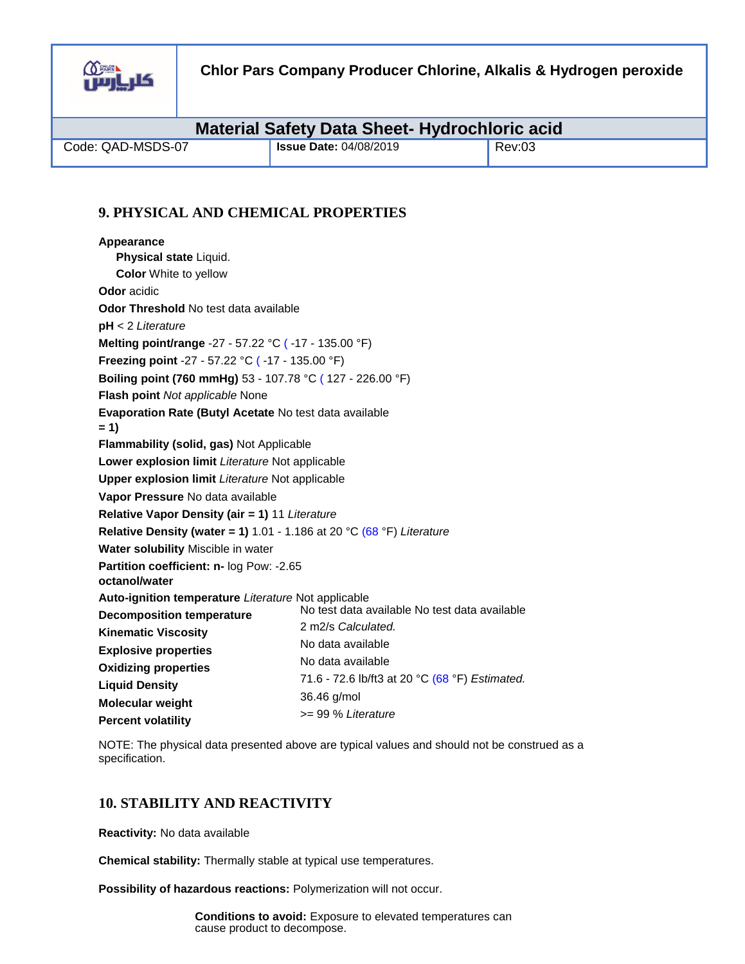

| <b>Material Safety Data Sheet- Hydrochloric acid</b> |                               |        |  |
|------------------------------------------------------|-------------------------------|--------|--|
| Code: QAD-MSDS-07                                    | <b>Issue Date: 04/08/2019</b> | Rev:03 |  |

# **9. PHYSICAL AND CHEMICAL PROPERTIES**

| Appearance                                                            |                                                |
|-----------------------------------------------------------------------|------------------------------------------------|
| Physical state Liquid.                                                |                                                |
| <b>Color</b> White to yellow                                          |                                                |
| <b>Odor</b> acidic                                                    |                                                |
| Odor Threshold No test data available                                 |                                                |
| $pH < 2$ Literature                                                   |                                                |
| Melting point/range -27 - 57.22 °C (-17 - 135.00 °F)                  |                                                |
| Freezing point -27 - 57.22 °C (-17 - 135.00 °F)                       |                                                |
| <b>Boiling point (760 mmHg)</b> 53 - 107.78 °C (127 - 226.00 °F)      |                                                |
| Flash point Not applicable None                                       |                                                |
| <b>Evaporation Rate (Butyl Acetate No test data available</b>         |                                                |
| $= 1$                                                                 |                                                |
| Flammability (solid, gas) Not Applicable                              |                                                |
| Lower explosion limit Literature Not applicable                       |                                                |
| <b>Upper explosion limit Literature Not applicable</b>                |                                                |
| Vapor Pressure No data available                                      |                                                |
| Relative Vapor Density (air = 1) 11 Literature                        |                                                |
| Relative Density (water = 1) 1.01 - 1.186 at 20 °C (68 °F) Literature |                                                |
| Water solubility Miscible in water                                    |                                                |
| Partition coefficient: n- log Pow: -2.65<br>octanol/water             |                                                |
| Auto-ignition temperature Literature Not applicable                   |                                                |
| <b>Decomposition temperature</b>                                      | No test data available No test data available  |
| <b>Kinematic Viscosity</b>                                            | 2 m2/s Calculated.                             |
| <b>Explosive properties</b>                                           | No data available                              |
| <b>Oxidizing properties</b>                                           | No data available                              |
| <b>Liquid Density</b>                                                 | 71.6 - 72.6 lb/ft3 at 20 °C (68 °F) Estimated. |
| Molecular weight                                                      | 36.46 g/mol                                    |
| <b>Percent volatility</b>                                             | >= 99 % Literature                             |

NOTE: The physical data presented above are typical values and should not be construed as a specification.

# **10. STABILITY AND REACTIVITY**

**Reactivity:** No data available

**Chemical stability:** Thermally stable at typical use temperatures.

**Possibility of hazardous reactions:** Polymerization will not occur.

**Conditions to avoid:** Exposure to elevated temperatures can cause product to decompose.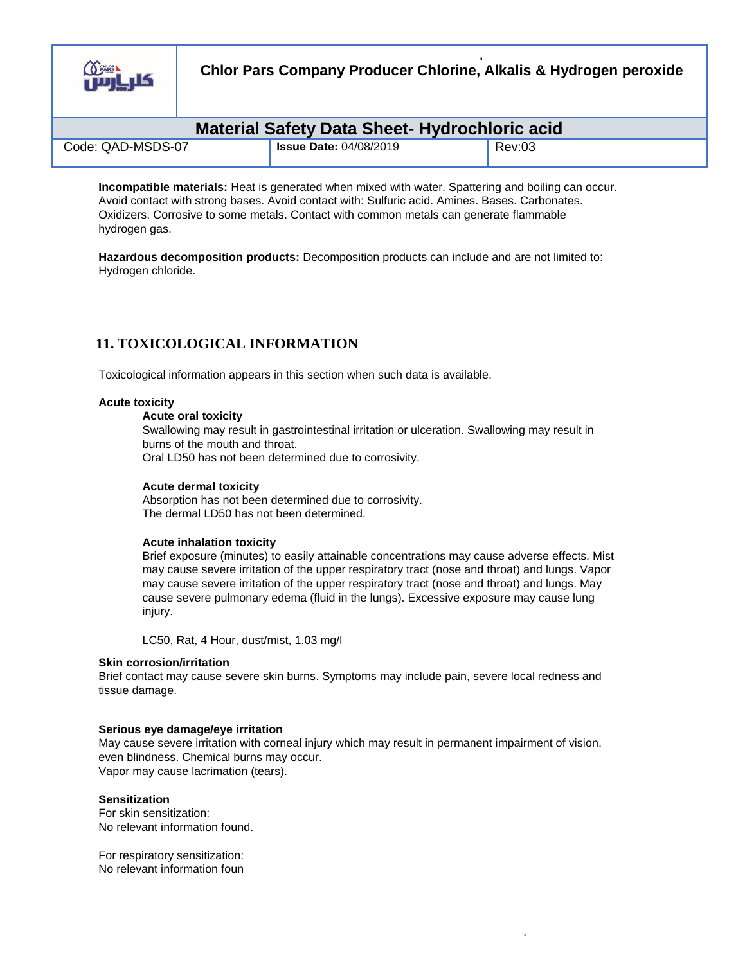

**Chlor Pars Company Producer Chlorine, Alkalis & Hydrogen peroxide**

| <b>Material Safety Data Sheet- Hydrochloric acid</b> |  |                               |        |
|------------------------------------------------------|--|-------------------------------|--------|
| Code: QAD-MSDS-07                                    |  | <b>Issue Date: 04/08/2019</b> | Rev:03 |

**Incompatible materials:** Heat is generated when mixed with water. Spattering and boiling can occur. Avoid contact with strong bases. Avoid contact with: Sulfuric acid. Amines. Bases. Carbonates. Oxidizers. Corrosive to some metals. Contact with common metals can generate flammable hydrogen gas.

**Hazardous decomposition products:** Decomposition products can include and are not limited to: Hydrogen chloride.

# **11. TOXICOLOGICAL INFORMATION**

Toxicological information appears in this section when such data is available.

## **Acute toxicity**

## **Acute oral toxicity**

Swallowing may result in gastrointestinal irritation or ulceration. Swallowing may result in burns of the mouth and throat.

Oral LD50 has not been determined due to corrosivity.

#### **Acute dermal toxicity**

Absorption has not been determined due to corrosivity. The dermal LD50 has not been determined.

#### **Acute inhalation toxicity**

Brief exposure (minutes) to easily attainable concentrations may cause adverse effects. Mist may cause severe irritation of the upper respiratory tract (nose and throat) and lungs. Vapor may cause severe irritation of the upper respiratory tract (nose and throat) and lungs. May cause severe pulmonary edema (fluid in the lungs). Excessive exposure may cause lung injury.

LC50, Rat, 4 Hour, dust/mist, 1.03 mg/l

#### **Skin corrosion/irritation**

Brief contact may cause severe skin burns. Symptoms may include pain, severe local redness and tissue damage.

#### **Serious eye damage/eye irritation**

May cause severe irritation with corneal injury which may result in permanent impairment of vision, even blindness. Chemical burns may occur. Vapor may cause lacrimation (tears).

#### **Sensitization**

For skin sensitization: No relevant information found.

For respiratory sensitization: No relevant information foun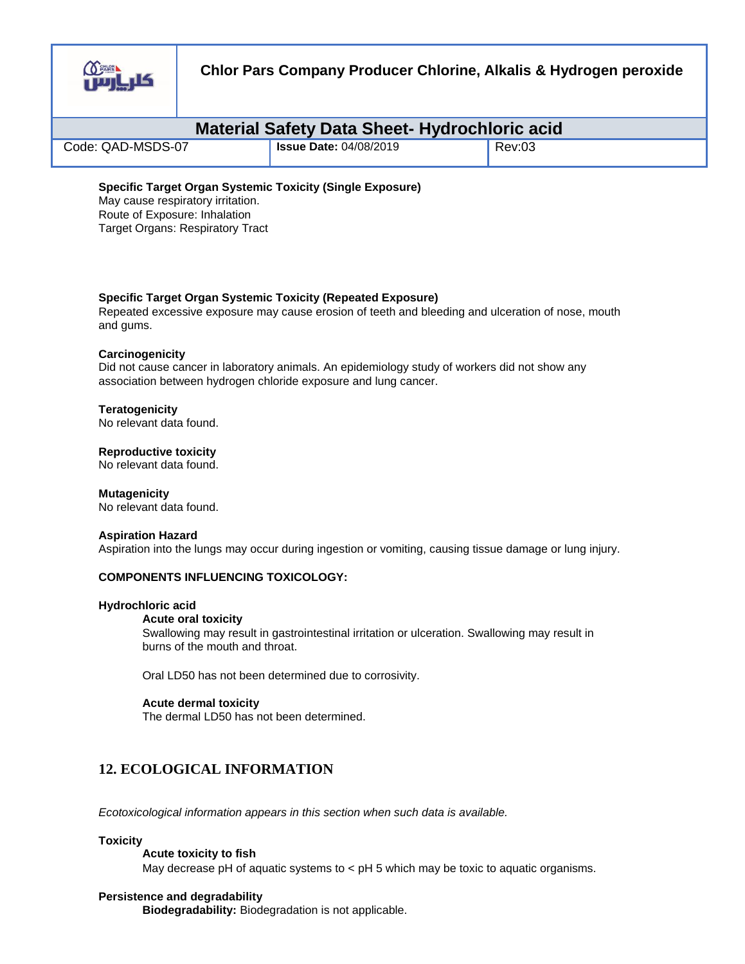

| <b>Material Safety Data Sheet- Hydrochloric acid</b> |                               |        |  |
|------------------------------------------------------|-------------------------------|--------|--|
| Code: QAD-MSDS-07                                    | <b>Issue Date: 04/08/2019</b> | Rev:03 |  |
|                                                      |                               |        |  |

#### **Specific Target Organ Systemic Toxicity (Repeated Exposure)**

Repeated excessive exposure may cause erosion of teeth and bleeding and ulceration of nose, mouth and gums.

#### **Carcinogenicity**

Did not cause cancer in laboratory animals. An epidemiology study of workers did not show any association between hydrogen chloride exposure and lung cancer.

#### **Teratogenicity**

No relevant data found.

**Reproductive toxicity** 

No relevant data found.

#### **Mutagenicity**

No relevant data found.

#### **Aspiration Hazard**

Aspiration into the lungs may occur during ingestion or vomiting, causing tissue damage or lung injury.

#### **COMPONENTS INFLUENCING TOXICOLOGY:**

#### **Hydrochloric acid**

#### **Acute oral toxicity**

Swallowing may result in gastrointestinal irritation or ulceration. Swallowing may result in burns of the mouth and throat.

Oral LD50 has not been determined due to corrosivity.

#### **Acute dermal toxicity**

The dermal LD50 has not been determined.

# **12. ECOLOGICAL INFORMATION**

*Ecotoxicological information appears in this section when such data is available.* 

#### **Toxicity**

**Acute toxicity to fish** 

May decrease pH of aquatic systems to  $\lt$  pH 5 which may be toxic to aquatic organisms.

#### **Persistence and degradability**

**Biodegradability:** Biodegradation is not applicable.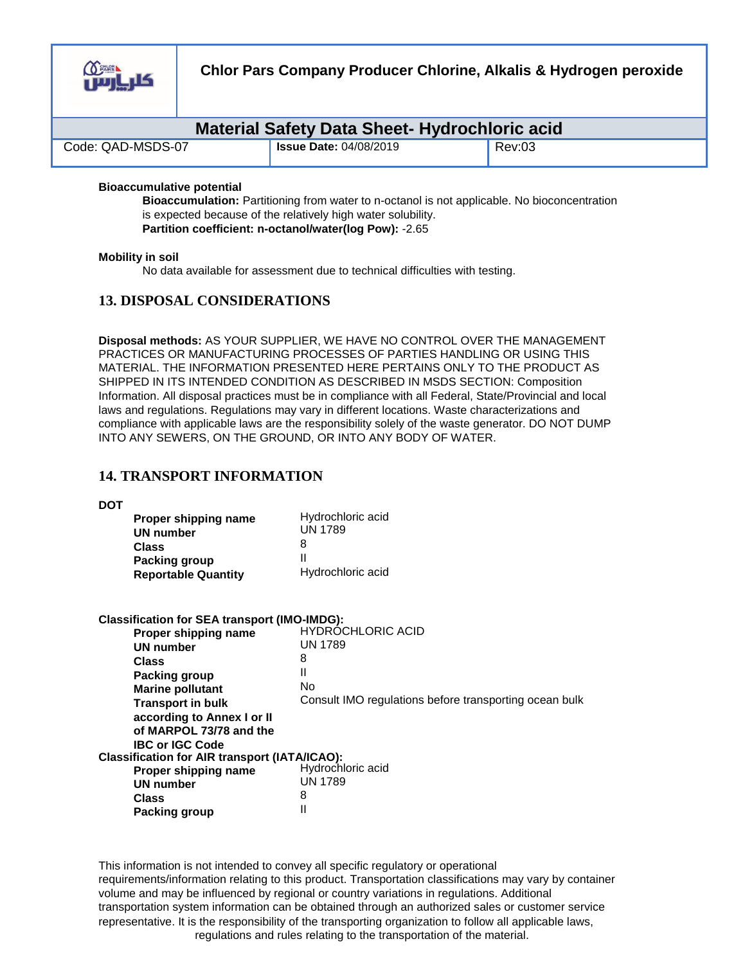

| <b>Material Safety Data Sheet- Hydrochloric acid</b> |                               |        |  |
|------------------------------------------------------|-------------------------------|--------|--|
| Code: QAD-MSDS-07                                    | <b>Issue Date: 04/08/2019</b> | Rev:03 |  |

## **Bioaccumulative potential**

**Bioaccumulation:** Partitioning from water to n-octanol is not applicable. No bioconcentration is expected because of the relatively high water solubility. **Partition coefficient: n-octanol/water(log Pow):** -2.65

#### **Mobility in soil**

No data available for assessment due to technical difficulties with testing.

## **13. DISPOSAL CONSIDERATIONS**

**Disposal methods:** AS YOUR SUPPLIER, WE HAVE NO CONTROL OVER THE MANAGEMENT PRACTICES OR MANUFACTURING PROCESSES OF PARTIES HANDLING OR USING THIS MATERIAL. THE INFORMATION PRESENTED HERE PERTAINS ONLY TO THE PRODUCT AS SHIPPED IN ITS INTENDED CONDITION AS DESCRIBED IN MSDS SECTION: Composition Information. All disposal practices must be in compliance with all Federal, State/Provincial and local laws and regulations. Regulations may vary in different locations. Waste characterizations and compliance with applicable laws are the responsibility solely of the waste generator. DO NOT DUMP INTO ANY SEWERS, ON THE GROUND, OR INTO ANY BODY OF WATER.

## **14. TRANSPORT INFORMATION**

**DOT** 

| Proper shipping name       | Hydrochloric acid |
|----------------------------|-------------------|
| <b>UN number</b>           | <b>UN 1789</b>    |
| <b>Class</b>               | 8                 |
| Packing group              | н                 |
| <b>Reportable Quantity</b> | Hydrochloric acid |

| <b>Classification for SEA transport (IMO-IMDG):</b>  |                                                        |
|------------------------------------------------------|--------------------------------------------------------|
| Proper shipping name                                 | <b>HYDRÓCHLORIC ACID</b>                               |
| <b>UN number</b>                                     | <b>UN 1789</b>                                         |
| <b>Class</b>                                         | 8                                                      |
| <b>Packing group</b>                                 | Ш                                                      |
| <b>Marine pollutant</b>                              | No                                                     |
| <b>Transport in bulk</b>                             | Consult IMO regulations before transporting ocean bulk |
| according to Annex I or II                           |                                                        |
| of MARPOL 73/78 and the                              |                                                        |
| <b>IBC or IGC Code</b>                               |                                                        |
| <b>Classification for AIR transport (IATA/ICAO):</b> |                                                        |
| Proper shipping name                                 | Hydrochloric acid                                      |
| <b>UN number</b>                                     | <b>UN 1789</b>                                         |
| Class                                                | 8                                                      |
| <b>Packing group</b>                                 | Ш                                                      |

This information is not intended to convey all specific regulatory or operational requirements/information relating to this product. Transportation classifications may vary by container volume and may be influenced by regional or country variations in regulations. Additional transportation system information can be obtained through an authorized sales or customer service representative. It is the responsibility of the transporting organization to follow all applicable laws, regulations and rules relating to the transportation of the material.